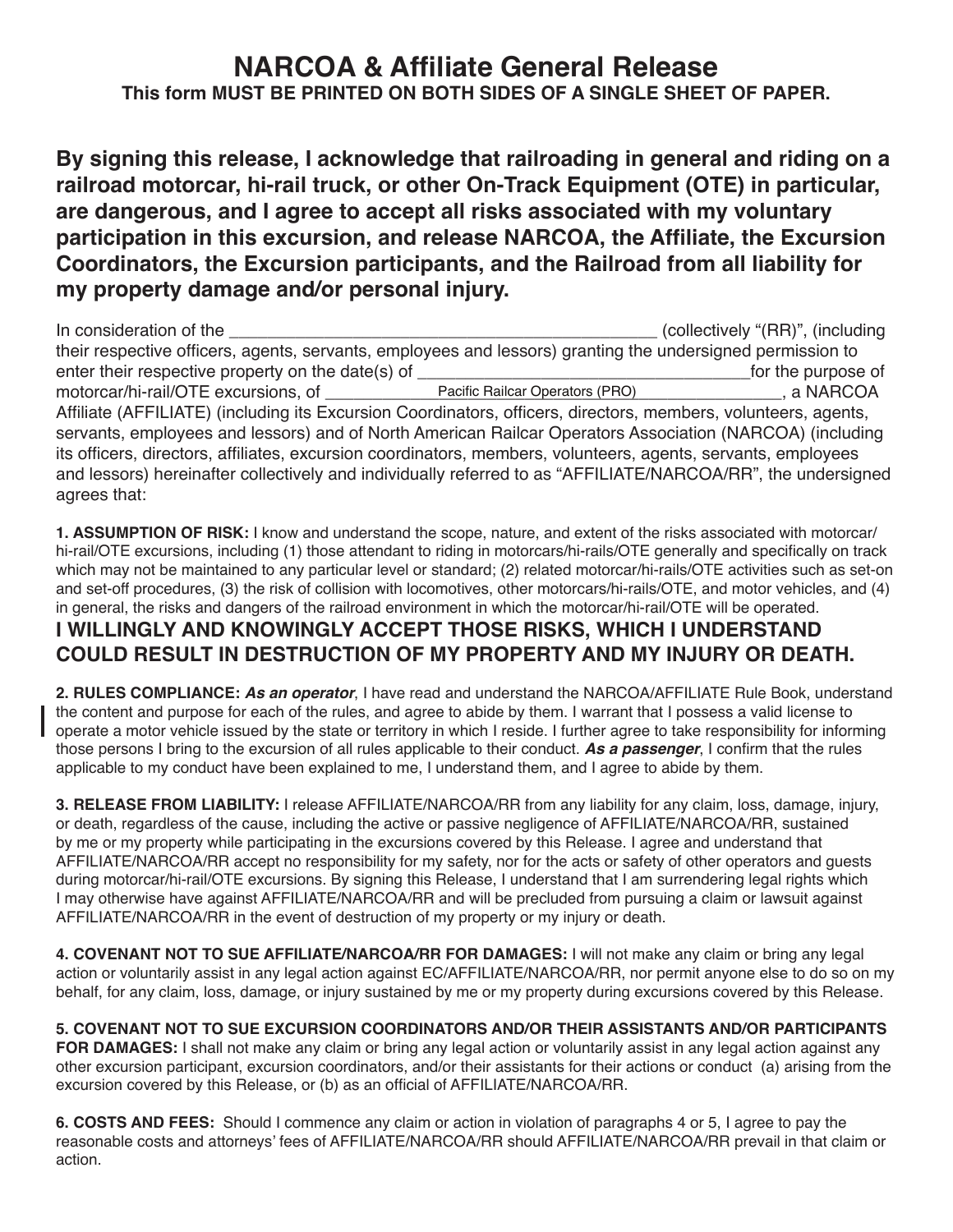## **NARCOA & Affiliate General Release This form MUST BE PRINTED ON BOTH SIDES OF A SINGLE SHEET OF PAPER.**

**By signing this release, I acknowledge that railroading in general and riding on a railroad motorcar, hi-rail truck, or other On-Track Equipment (OTE) in particular, are dangerous, and I agree to accept all risks associated with my voluntary participation in this excursion, and release NARCOA, the Affiliate, the Excursion Coordinators, the Excursion participants, and the Railroad from all liability for my property damage and/or personal injury.**

In consideration of the latter and the consideration of the latter and the constant of the latter and the constant of the constant of the constant of the constant of the constant of the constant of the constant of the cons their respective officers, agents, servants, employees and lessors) granting the undersigned permission to enter their respective property on the date(s) of \_\_\_\_\_\_\_\_\_\_\_\_\_\_\_\_\_\_\_\_\_\_\_\_\_\_\_\_\_\_\_\_\_\_\_for the purpose of motorcar/hi-rail/OTE excursions, of \_\_\_\_\_\_\_\_\_\_\_\_\_\_\_\_Pacific Railcar Operators (PRO) \_\_\_\_\_\_\_\_\_\_\_\_\_\_\_\_, a NARCOA Affiliate (AFFILIATE) (including its Excursion Coordinators, officers, directors, members, volunteers, agents, servants, employees and lessors) and of North American Railcar Operators Association (NARCOA) (including its officers, directors, affiliates, excursion coordinators, members, volunteers, agents, servants, employees and lessors) hereinafter collectively and individually referred to as "AFFILIATE/NARCOA/RR", the undersigned agrees that:

**1. ASSUMPTION OF RISK:** I know and understand the scope, nature, and extent of the risks associated with motorcar/ hi-rail/OTE excursions, including (1) those attendant to riding in motorcars/hi-rails/OTE generally and specifically on track which may not be maintained to any particular level or standard; (2) related motorcar/hi-rails/OTE activities such as set-on and set-off procedures, (3) the risk of collision with locomotives, other motorcars/hi-rails/OTE, and motor vehicles, and (4) in general, the risks and dangers of the railroad environment in which the motorcar/hi-rail/OTE will be operated.

## **I WILLINGLY AND KNOWINGLY ACCEPT THOSE RISKS, WHICH I UNDERSTAND COULD RESULT IN DESTRUCTION OF MY PROPERTY AND MY INJURY OR DEATH.**

**2. RULES COMPLIANCE:** *As an operator*, I have read and understand the NARCOA/AFFILIATE Rule Book, understand the content and purpose for each of the rules, and agree to abide by them. I warrant that I possess a valid license to operate a motor vehicle issued by the state or territory in which I reside. I further agree to take responsibility for informing those persons I bring to the excursion of all rules applicable to their conduct. *As a passenger*, I confirm that the rules applicable to my conduct have been explained to me, I understand them, and I agree to abide by them.

**3. RELEASE FROM LIABILITY:** I release AFFILIATE/NARCOA/RR from any liability for any claim, loss, damage, injury, or death, regardless of the cause, including the active or passive negligence of AFFILIATE/NARCOA/RR, sustained by me or my property while participating in the excursions covered by this Release. I agree and understand that AFFILIATE/NARCOA/RR accept no responsibility for my safety, nor for the acts or safety of other operators and guests during motorcar/hi-rail/OTE excursions. By signing this Release, I understand that I am surrendering legal rights which I may otherwise have against AFFILIATE/NARCOA/RR and will be precluded from pursuing a claim or lawsuit against AFFILIATE/NARCOA/RR in the event of destruction of my property or my injury or death.

**4. COVENANT NOT TO SUE AFFILIATE/NARCOA/RR FOR DAMAGES:** I will not make any claim or bring any legal action or voluntarily assist in any legal action against EC/AFFILIATE/NARCOA/RR, nor permit anyone else to do so on my behalf, for any claim, loss, damage, or injury sustained by me or my property during excursions covered by this Release.

**5. COVENANT NOT TO SUE EXCURSION COORDINATORS AND/OR THEIR ASSISTANTS AND/OR PARTICIPANTS FOR DAMAGES:** I shall not make any claim or bring any legal action or voluntarily assist in any legal action against any other excursion participant, excursion coordinators, and/or their assistants for their actions or conduct (a) arising from the excursion covered by this Release, or (b) as an official of AFFILIATE/NARCOA/RR.

**6. COSTS AND FEES:** Should I commence any claim or action in violation of paragraphs 4 or 5, I agree to pay the reasonable costs and attorneys' fees of AFFILIATE/NARCOA/RR should AFFILIATE/NARCOA/RR prevail in that claim or action.